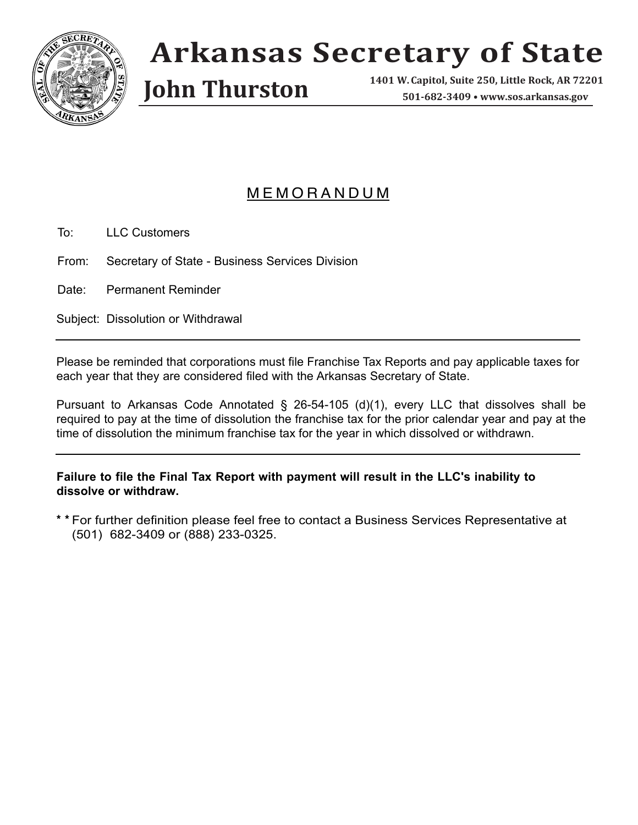

## **Arkansas Secretary of State**

**John Thurston** 

**1401 W. Capitol, Suite 250, 501-682-3409 • www.sos.arkansas.gov**

## M E M O R A N D U M

To: LLC Customers

From: Secretary of State - Business Services Division

Date: Permanent Reminder

Subject: Dissolution or Withdrawal

Please be reminded that corporations must file Franchise Tax Reports and pay applicable taxes for each year that they are considered filed with the Arkansas Secretary of State.

Pursuant to Arkansas Code Annotated § 26-54-105 (d)(1), every LLC that dissolves shall be required to pay at the time of dissolution the franchise tax for the prior calendar year and pay at the time of dissolution the minimum franchise tax for the year in which dissolved or withdrawn.

**Failure to file the Final Tax Report with payment will result in the LLC's inability to dissolve or withdraw.**

**\* \*** For further definition please feel free to contact a Business Services Representative at (501) 682-3409 or (888) 233-0325.